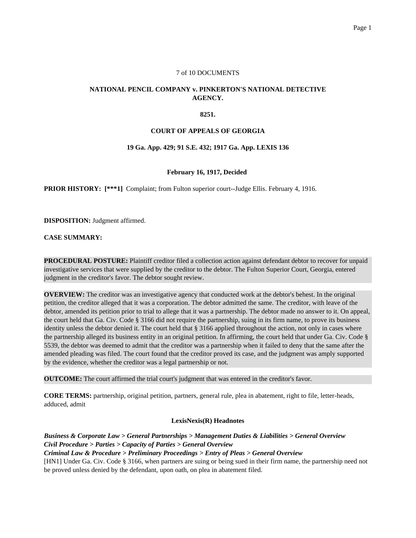#### 7 of 10 DOCUMENTS

# **NATIONAL PENCIL COMPANY v. PINKERTON'S NATIONAL DETECTIVE AGENCY.**

#### **8251.**

### **COURT OF APPEALS OF GEORGIA**

#### **19 Ga. App. 429; 91 S.E. 432; 1917 Ga. App. LEXIS 136**

#### **February 16, 1917, Decided**

**PRIOR HISTORY:** [\*\*\*1] Complaint; from Fulton superior court--Judge Ellis. February 4, 1916.

**DISPOSITION:** Judgment affirmed.

**CASE SUMMARY:**

**PROCEDURAL POSTURE:** Plaintiff creditor filed a collection action against defendant debtor to recover for unpaid investigative services that were supplied by the creditor to the debtor. The Fulton Superior Court, Georgia, entered judgment in the creditor's favor. The debtor sought review.

**OVERVIEW:** The creditor was an investigative agency that conducted work at the debtor's behest. In the original petition, the creditor alleged that it was a corporation. The debtor admitted the same. The creditor, with leave of the debtor, amended its petition prior to trial to allege that it was a partnership. The debtor made no answer to it. On appeal, the court held that Ga. Civ. Code § 3166 did not require the partnership, suing in its firm name, to prove its business identity unless the debtor denied it. The court held that § 3166 applied throughout the action, not only in cases where the partnership alleged its business entity in an original petition. In affirming, the court held that under Ga. Civ. Code § 5539, the debtor was deemed to admit that the creditor was a partnership when it failed to deny that the same after the amended pleading was filed. The court found that the creditor proved its case, and the judgment was amply supported by the evidence, whether the creditor was a legal partnership or not.

**OUTCOME:** The court affirmed the trial court's judgment that was entered in the creditor's favor.

**CORE TERMS:** partnership, original petition, partners, general rule, plea in abatement, right to file, letter-heads, adduced, admit

#### **LexisNexis(R) Headnotes**

*Business & Corporate Law > General Partnerships > Management Duties & Liabilities > General Overview Civil Procedure > Parties > Capacity of Parties > General Overview Criminal Law & Procedure > Preliminary Proceedings > Entry of Pleas > General Overview*

[HN1] Under Ga. Civ. Code § 3166, when partners are suing or being sued in their firm name, the partnership need not be proved unless denied by the defendant, upon oath, on plea in abatement filed.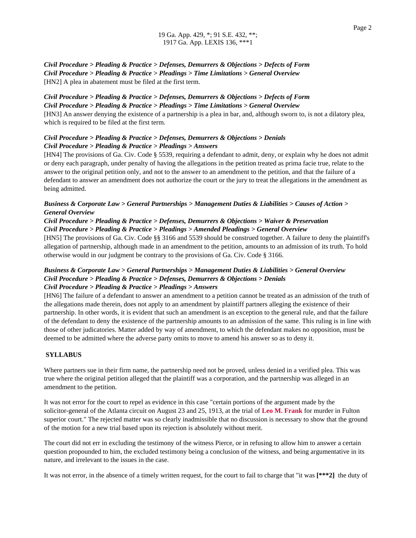*Civil Procedure > Pleading & Practice > Defenses, Demurrers & Objections > Defects of Form Civil Procedure > Pleading & Practice > Pleadings > Time Limitations > General Overview* [HN2] A plea in abatement must be filed at the first term.

# *Civil Procedure > Pleading & Practice > Defenses, Demurrers & Objections > Defects of Form*

*Civil Procedure > Pleading & Practice > Pleadings > Time Limitations > General Overview* [HN3] An answer denying the existence of a partnership is a plea in bar, and, although sworn to, is not a dilatory plea, which is required to be filed at the first term.

### *Civil Procedure > Pleading & Practice > Defenses, Demurrers & Objections > Denials Civil Procedure > Pleading & Practice > Pleadings > Answers*

[HN4] The provisions of Ga. Civ. Code § 5539, requiring a defendant to admit, deny, or explain why he does not admit or deny each paragraph, under penalty of having the allegations in the petition treated as prima facie true, relate to the answer to the original petition only, and not to the answer to an amendment to the petition, and that the failure of a defendant to answer an amendment does not authorize the court or the jury to treat the allegations in the amendment as being admitted.

## *Business & Corporate Law > General Partnerships > Management Duties & Liabilities > Causes of Action > General Overview*

#### *Civil Procedure > Pleading & Practice > Defenses, Demurrers & Objections > Waiver & Preservation Civil Procedure > Pleading & Practice > Pleadings > Amended Pleadings > General Overview*

[HN5] The provisions of Ga. Civ. Code §§ 3166 and 5539 should be construed together. A failure to deny the plaintiff's allegation of partnership, although made in an amendment to the petition, amounts to an admission of its truth. To hold otherwise would in our judgment be contrary to the provisions of Ga. Civ. Code § 3166.

# *Business & Corporate Law > General Partnerships > Management Duties & Liabilities > General Overview Civil Procedure > Pleading & Practice > Defenses, Demurrers & Objections > Denials Civil Procedure > Pleading & Practice > Pleadings > Answers*

[HN6] The failure of a defendant to answer an amendment to a petition cannot be treated as an admission of the truth of the allegations made therein, does not apply to an amendment by plaintiff partners alleging the existence of their partnership. In other words, it is evident that such an amendment is an exception to the general rule, and that the failure of the defendant to deny the existence of the partnership amounts to an admission of the same. This ruling is in line with those of other judicatories. Matter added by way of amendment, to which the defendant makes no opposition, must be deemed to be admitted where the adverse party omits to move to amend his answer so as to deny it.

# **SYLLABUS**

Where partners sue in their firm name, the partnership need not be proved, unless denied in a verified plea. This was true where the original petition alleged that the plaintiff was a corporation, and the partnership was alleged in an amendment to the petition.

It was not error for the court to repel as evidence in this case "certain portions of the argument made by the solicitor-general of the Atlanta circuit on August 23 and 25, 1913, at the trial of **Leo M. Frank** for murder in Fulton superior court." The rejected matter was so clearly inadmissible that no discussion is necessary to show that the ground of the motion for a new trial based upon its rejection is absolutely without merit.

The court did not err in excluding the testimony of the witness Pierce, or in refusing to allow him to answer a certain question propounded to him, the excluded testimony being a conclusion of the witness, and being argumentative in its nature, and irrelevant to the issues in the case.

It was not error, in the absence of a timely written request, for the court to fail to charge that "it was **[\*\*\*2]** the duty of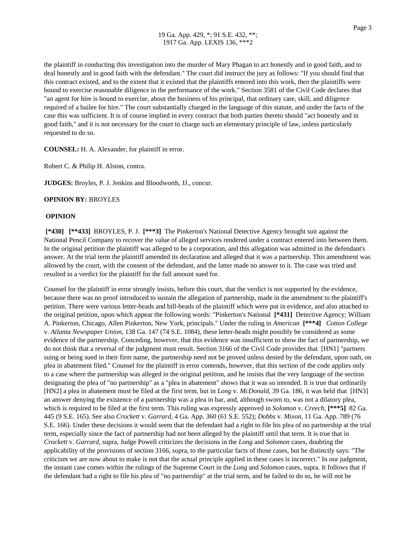the plaintiff in conducting this investigation into the murder of Mary Phagan to act honestly and in good faith, and to deal honestly and in good faith with the defendant." The court did instruct the jury as follows: "If you should find that this contract existed, and to the extent that it existed that the plaintiffs entered into this work, then the plaintiffs were bound to exercise reasonable diligence in the performance of the work." Section 3581 of the Civil Code declares that "an agent for hire is bound to exercise, about the business of his principal, that ordinary care, skill, and diligence required of a bailee for hire." The court substantially charged in the language of this statute, and under the facts of the case this was sufficient. It is of course implied in every contract that both parties thereto should "act honestly and in good faith," and it is not necessary for the court to charge such an elementary principle of law, unless particularly requested to do so.

**COUNSEL:** H. A. Alexander, for plaintiff in error.

Robert C. & Philip H. Alston, contra.

**JUDGES:** Broyles, P. J. Jenkins and Bloodworth, JJ., concur.

#### **OPINION BY:** BROYLES

#### **OPINION**

**[\*430] [\*\*433]** BROYLES, P. J. **[\*\*\*3]** The Pinkerton's National Detective Agency brought suit against the National Pencil Company to recover the value of alleged services rendered under a contract entered into between them. In the original petition the plaintiff was alleged to be a corporation, and this allegation was admitted in the defendant's answer. At the trial term the plaintiff amended its declaration and alleged that it was a partnership. This amendment was allowed by the court, with the consent of the defendant, and the latter made no answer to it. The case was tried and resulted in a verdict for the plaintiff for the full amount sued for.

Counsel for the plaintiff in error strongly insists, before this court, that the verdict is not supported by the evidence, because there was no proof introduced to sustain the allegation of partnership, made in the amendment to the plaintiff's petition. There were various letter-heads and bill-beads of the plaintiff which were put in evidence, and also attached to the original petition, upon which appear the following words: "Pinkerton's National **[\*431]** Detective Agency; William A. Pinkerton, Chicago, Allen Pinkerton, New York, principals." Under the ruling in *American* **[\*\*\*4]** *Cotton College* v. *Atlanta Newspaper Union,* 138 Ga. 147 (74 S.E. 1084), these letter-heads might possibly be considered as some evidence of the partnership. Conceding, however, that this evidence was insufficient to show the fact of partnership, we do not think that a reversal of the judgment must result. Section 3166 of the Civil Code provides that [HN1] "partners suing or being sued in their firm name, the partnership need not be proved unless denied by the defendant, upon oath, on plea in abatement filed." Counsel for the plaintiff in error contends, however, that this section of the code applies only to a case where the partnership was alleged in the original petition, and he insists that the very language of the section designating the plea of "no partnership" as a "plea in abatement" shows that it was so intended. It is true that ordinarily [HN2] a plea in abatement must be filed at the first term, but in *Long* v. *McDonald,* 39 Ga. 186, it was held that [HN3] an answer denying the existence of a partnership was a plea in bar, and, although sworn to, was not a dilatory plea, which is required to be filed at the first term. This ruling was expressly approved in *Solomon* v. *Creech,* **[\*\*\*5]** 82 Ga. 445 (9 S.E. 165). See also *Crockett* v. *Garrard,* 4 Ga. App. 360 (61 S.E. 552); *Dobbs* v. *Mixon,* 11 Ga. App. 789 (76 S.E. 166). Under these decisions it would seem that the defendant had a right to file his plea of no partnership at the trial term, especially since the fact of partnership had not been alleged by the plaintiff until that term. It is true that in *Crockett* v. *Garrard,* supra, Judge Powell criticizes the decisions in the *Long* and *Solomon* cases, doubting the applicability of the provisions of section 3166, supra, to the particular facts of those cases, but he distinctly says: "The criticism we are now about to make is not that the actual principle applied in these cases is incorrect." In our judgment, the instant case comes within the rulings of the Supreme Court in the *Long* and *Solomon* cases, supra. It follows that if the defendant had a right to file his plea of "no partnership" at the trial term, and he failed to do so, he will not be